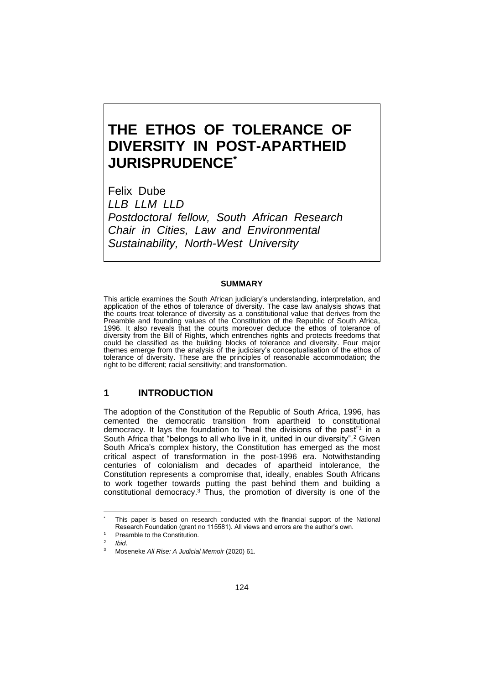# **THE ETHOS OF TOLERANCE OF DIVERSITY IN POST-APARTHEID JURISPRUDENCE\***

Felix Dube *LLB LLM LLD Postdoctoral fellow, South African Research Chair in Cities, Law and Environmental Sustainability, North-West University*

#### **SUMMARY**

This article examines the South African judiciary's understanding, interpretation, and application of the ethos of tolerance of diversity. The case law analysis shows that the courts treat tolerance of diversity as a constitutional value that derives from the Preamble and founding values of the Constitution of the Republic of South Africa, 1996. It also reveals that the courts moreover deduce the ethos of tolerance of diversity from the Bill of Rights, which entrenches rights and protects freedoms that could be classified as the building blocks of tolerance and diversity. Four major themes emerge from the analysis of the judiciary's conceptualisation of the ethos of tolerance of diversity. These are the principles of reasonable accommodation; the right to be different; racial sensitivity; and transformation.

#### **1 INTRODUCTION**

The adoption of the Constitution of the Republic of South Africa, 1996, has cemented the democratic transition from apartheid to constitutional democracy. It lays the foundation to "heal the divisions of the past"<sup>1</sup> in a South Africa that "belongs to all who live in it, united in our diversity".<sup>2</sup> Given South Africa's complex history, the Constitution has emerged as the most critical aspect of transformation in the post-1996 era. Notwithstanding centuries of colonialism and decades of apartheid intolerance, the Constitution represents a compromise that, ideally, enables South Africans to work together towards putting the past behind them and building a constitutional democracy.<sup>3</sup> Thus, the promotion of diversity is one of the

This paper is based on research conducted with the financial support of the National Research Foundation (grant no 115581). All views and errors are the author's own.

Preamble to the Constitution.

<sup>2</sup> *Ibid*.

<sup>3</sup> Moseneke *All Rise: A Judicial Memoir* (2020) 61.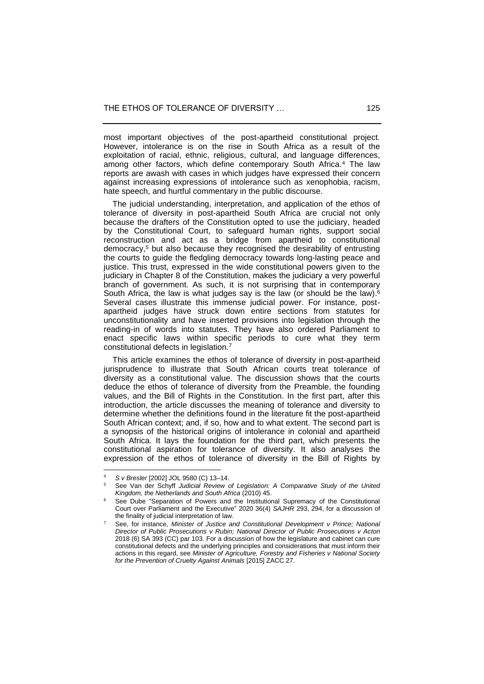most important objectives of the post-apartheid constitutional project. However, intolerance is on the rise in South Africa as a result of the exploitation of racial, ethnic, religious, cultural, and language differences, among other factors, which define contemporary South Africa.<sup>4</sup> The law reports are awash with cases in which judges have expressed their concern against increasing expressions of intolerance such as xenophobia, racism, hate speech, and hurtful commentary in the public discourse.

 The judicial understanding, interpretation, and application of the ethos of tolerance of diversity in post-apartheid South Africa are crucial not only because the drafters of the Constitution opted to use the judiciary, headed by the Constitutional Court, to safeguard human rights, support social reconstruction and act as a bridge from apartheid to constitutional democracy,<sup>5</sup> but also because they recognised the desirability of entrusting the courts to guide the fledgling democracy towards long-lasting peace and justice. This trust, expressed in the wide constitutional powers given to the judiciary in Chapter 8 of the Constitution, makes the judiciary a very powerful branch of government. As such, it is not surprising that in contemporary South Africa, the law is what judges say is the law (or should be the law).<sup>6</sup> Several cases illustrate this immense judicial power. For instance, postapartheid judges have struck down entire sections from statutes for unconstitutionality and have inserted provisions into legislation through the reading-in of words into statutes. They have also ordered Parliament to enact specific laws within specific periods to cure what they term constitutional defects in legislation.<sup>7</sup>

 This article examines the ethos of tolerance of diversity in post-apartheid jurisprudence to illustrate that South African courts treat tolerance of diversity as a constitutional value. The discussion shows that the courts deduce the ethos of tolerance of diversity from the Preamble, the founding values, and the Bill of Rights in the Constitution. In the first part, after this introduction, the article discusses the meaning of tolerance and diversity to determine whether the definitions found in the literature fit the post-apartheid South African context; and, if so, how and to what extent. The second part is a synopsis of the historical origins of intolerance in colonial and apartheid South Africa. It lays the foundation for the third part, which presents the constitutional aspiration for tolerance of diversity. It also analyses the expression of the ethos of tolerance of diversity in the Bill of Rights by

<sup>&</sup>lt;sup>4</sup> *S v Bresler* [2002] JOL 9580 (C) 13–14.

<sup>5</sup> See Van der Schyff *Judicial Review of Legislation: A Comparative Study of the United Kingdom, the Netherlands and South Africa* (2010) 45.

See Dube "Separation of Powers and the Institutional Supremacy of the Constitutional Court over Parliament and the Executive" 2020 36(4) *SAJHR* 293, 294, for a discussion of the finality of judicial interpretation of law.

<sup>7</sup> See, for instance, *Minister of Justice and Constitutional Development v Prince; National Director of Public Prosecutions v Rubin; National Director of Public Prosecutions v Acton* 2018 (6) SA 393 (CC) par 103. For a discussion of how the legislature and cabinet can cure constitutional defects and the underlying principles and considerations that must inform their actions in this regard, see *Minister of Agriculture, Forestry and Fisheries v National Society for the Prevention of Cruelty Against Animals* [2015] ZACC 27.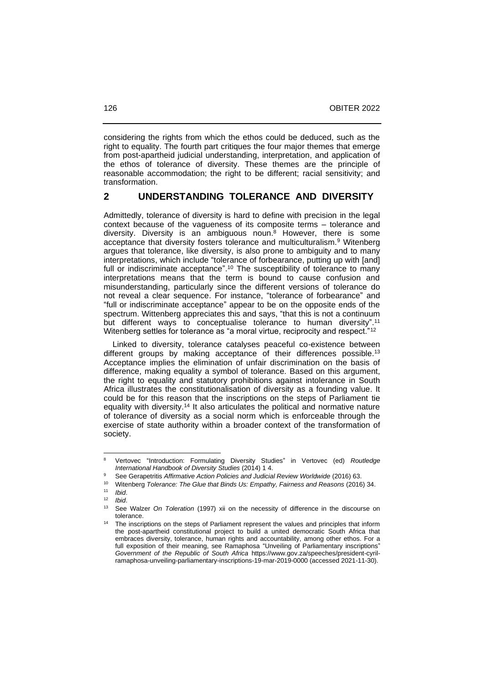considering the rights from which the ethos could be deduced, such as the right to equality. The fourth part critiques the four major themes that emerge from post-apartheid judicial understanding, interpretation, and application of the ethos of tolerance of diversity. These themes are the principle of reasonable accommodation; the right to be different; racial sensitivity; and transformation.

#### **2 UNDERSTANDING TOLERANCE AND DIVERSITY**

Admittedly, tolerance of diversity is hard to define with precision in the legal context because of the vagueness of its composite terms – tolerance and diversity. Diversity is an ambiguous noun. <sup>8</sup> However, there is some acceptance that diversity fosters tolerance and multiculturalism.<sup>9</sup> Witenberg argues that tolerance, like diversity, is also prone to ambiguity and to many interpretations, which include "tolerance of forbearance, putting up with [and] full or indiscriminate acceptance".<sup>10</sup> The susceptibility of tolerance to many interpretations means that the term is bound to cause confusion and misunderstanding, particularly since the different versions of tolerance do not reveal a clear sequence. For instance, "tolerance of forbearance" and "full or indiscriminate acceptance" appear to be on the opposite ends of the spectrum. Wittenberg appreciates this and says, "that this is not a continuum but different ways to conceptualise tolerance to human diversity".<sup>11</sup> Witenberg settles for tolerance as "a moral virtue, reciprocity and respect."<sup>12</sup>

 Linked to diversity, tolerance catalyses peaceful co-existence between different groups by making acceptance of their differences possible.<sup>13</sup> Acceptance implies the elimination of unfair discrimination on the basis of difference, making equality a symbol of tolerance. Based on this argument, the right to equality and statutory prohibitions against intolerance in South Africa illustrates the constitutionalisation of diversity as a founding value. It could be for this reason that the inscriptions on the steps of Parliament tie equality with diversity.<sup>14</sup> It also articulates the political and normative nature of tolerance of diversity as a social norm which is enforceable through the exercise of state authority within a broader context of the transformation of society.

<sup>8</sup> Vertovec "Introduction: Formulating Diversity Studies" in Vertovec (ed) *Routledge International Handbook of Diversity Studies* (2014) 1 4.

<sup>9</sup> See Gerapetritis *Affirmative Action Policies and Judicial Review Worldwide* (2016) 63.

<sup>10</sup> Witenberg *Tolerance: The Glue that Binds Us: Empathy, Fairness and Reasons* (2016) 34.

 $11$  *Ibid.*<br> $12$  *Ibid* 

<sup>12</sup> *Ibid*.

<sup>13</sup> See Walzer *On Toleration* (1997) xii on the necessity of difference in the discourse on tolerance.

The inscriptions on the steps of Parliament represent the values and principles that inform the post-apartheid constitutional project to build a united democratic South Africa that embraces diversity, tolerance, human rights and accountability, among other ethos. For a full exposition of their meaning, see Ramaphosa "Unveiling of Parliamentary inscriptions" *Government of the Republic of South Africa* https://www.gov.za/speeches/president-cyrilramaphosa-unveiling-parliamentary-inscriptions-19-mar-2019-0000 (accessed 2021-11-30).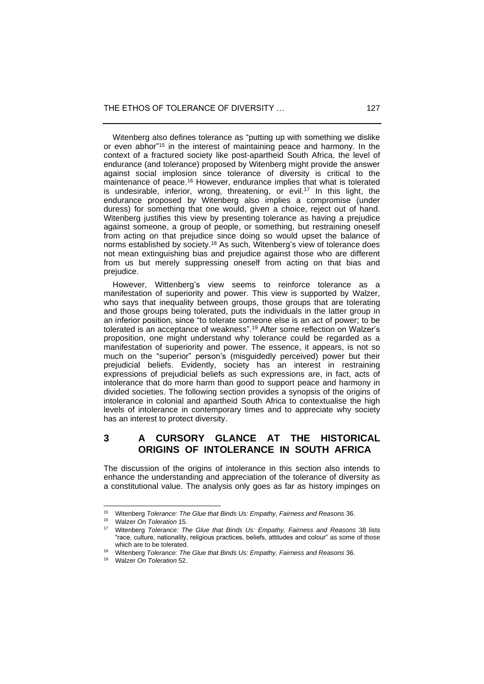Witenberg also defines tolerance as "putting up with something we dislike or even abhor" <sup>15</sup> in the interest of maintaining peace and harmony. In the context of a fractured society like post-apartheid South Africa, the level of endurance (and tolerance) proposed by Witenberg might provide the answer against social implosion since tolerance of diversity is critical to the maintenance of peace.<sup>16</sup> However, endurance implies that what is tolerated is undesirable, inferior, wrong, threatening, or evil.<sup>17</sup> In this light, the endurance proposed by Witenberg also implies a compromise (under duress) for something that one would, given a choice, reject out of hand. Witenberg justifies this view by presenting tolerance as having a prejudice against someone, a group of people, or something, but restraining oneself from acting on that prejudice since doing so would upset the balance of norms established by society.<sup>18</sup> As such, Witenberg's view of tolerance does not mean extinguishing bias and prejudice against those who are different from us but merely suppressing oneself from acting on that bias and prejudice.

 However, Wittenberg's view seems to reinforce tolerance as a manifestation of superiority and power. This view is supported by Walzer, who says that inequality between groups, those groups that are tolerating and those groups being tolerated, puts the individuals in the latter group in an inferior position, since "to tolerate someone else is an act of power; to be tolerated is an acceptance of weakness". <sup>19</sup> After some reflection on Walzer's proposition, one might understand why tolerance could be regarded as a manifestation of superiority and power. The essence, it appears, is not so much on the "superior" person's (misguidedly perceived) power but their prejudicial beliefs. Evidently, society has an interest in restraining expressions of prejudicial beliefs as such expressions are, in fact, acts of intolerance that do more harm than good to support peace and harmony in divided societies. The following section provides a synopsis of the origins of intolerance in colonial and apartheid South Africa to contextualise the high levels of intolerance in contemporary times and to appreciate why society has an interest to protect diversity.

## **3 A CURSORY GLANCE AT THE HISTORICAL ORIGINS OF INTOLERANCE IN SOUTH AFRICA**

The discussion of the origins of intolerance in this section also intends to enhance the understanding and appreciation of the tolerance of diversity as a constitutional value. The analysis only goes as far as history impinges on

<sup>15</sup> Witenberg *Tolerance: The Glue that Binds Us: Empathy, Fairness and Reasons* 36.

<sup>&</sup>lt;sup>16</sup> Walzer *On Toleration* 15.

<sup>17</sup> Witenberg *Tolerance: The Glue that Binds Us: Empathy, Fairness and Reasons* 38 lists "race, culture, nationality, religious practices, beliefs, attitudes and colour" as some of those which are to be tolerated.

<sup>18</sup> Witenberg *Tolerance: The Glue that Binds Us: Empathy, Fairness and Reasons* 36.

<sup>19</sup> Walzer *On Toleration* 52.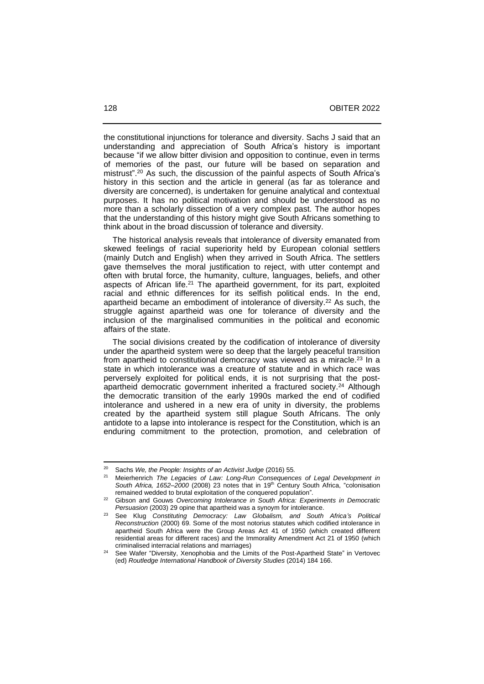the constitutional injunctions for tolerance and diversity. Sachs J said that an understanding and appreciation of South Africa's history is important because "if we allow bitter division and opposition to continue, even in terms of memories of the past, our future will be based on separation and mistrust". <sup>20</sup> As such, the discussion of the painful aspects of South Africa's history in this section and the article in general (as far as tolerance and diversity are concerned), is undertaken for genuine analytical and contextual purposes. It has no political motivation and should be understood as no more than a scholarly dissection of a very complex past. The author hopes that the understanding of this history might give South Africans something to think about in the broad discussion of tolerance and diversity.

 The historical analysis reveals that intolerance of diversity emanated from skewed feelings of racial superiority held by European colonial settlers (mainly Dutch and English) when they arrived in South Africa. The settlers gave themselves the moral justification to reject, with utter contempt and often with brutal force, the humanity, culture, languages, beliefs, and other aspects of African life.<sup>21</sup> The apartheid government, for its part, exploited racial and ethnic differences for its selfish political ends. In the end, apartheid became an embodiment of intolerance of diversity. <sup>22</sup> As such, the struggle against apartheid was one for tolerance of diversity and the inclusion of the marginalised communities in the political and economic affairs of the state.

 The social divisions created by the codification of intolerance of diversity under the apartheid system were so deep that the largely peaceful transition from apartheid to constitutional democracy was viewed as a miracle.<sup>23</sup> In a state in which intolerance was a creature of statute and in which race was perversely exploited for political ends, it is not surprising that the postapartheid democratic government inherited a fractured society.<sup>24</sup> Although the democratic transition of the early 1990s marked the end of codified intolerance and ushered in a new era of unity in diversity, the problems created by the apartheid system still plague South Africans. The only antidote to a lapse into intolerance is respect for the Constitution, which is an enduring commitment to the protection, promotion, and celebration of

<sup>20</sup> Sachs *We, the People: Insights of an Activist Judge* (2016) 55.

<sup>21</sup> Meierhenrich *The Legacies of Law: Long-Run Consequences of Legal Development in*  South Africa, 1652-2000 (2008) 23 notes that in 19<sup>th</sup> Century South Africa, "colonisation remained wedded to brutal exploitation of the conquered population".

<sup>22</sup> Gibson and Gouws *Overcoming Intolerance in South Africa: Experiments in Democratic Persuasion* (2003) 29 opine that apartheid was a synoym for intolerance.

<sup>23</sup> See Klug *Constituting Democracy: Law Globalism, and South Africa's Political Reconstruction* (2000) 69. Some of the most notorius statutes which codified intolerance in apartheid South Africa were the Group Areas Act 41 of 1950 (which created different residential areas for different races) and the Immorality Amendment Act 21 of 1950 (which criminalised interracial relations and marriages)

See Wafer "Diversity, Xenophobia and the Limits of the Post-Apartheid State" in Vertovec (ed) *Routledge International Handbook of Diversity Studies* (2014) 184 166.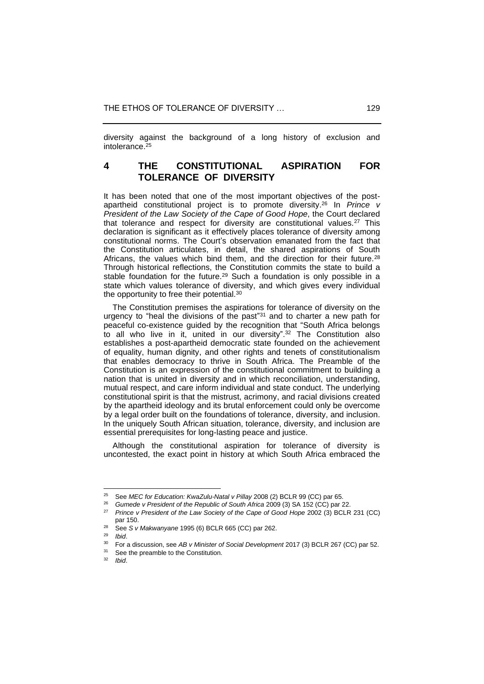diversity against the background of a long history of exclusion and intolerance. $25$ 

## **4 THE CONSTITUTIONAL ASPIRATION FOR TOLERANCE OF DIVERSITY**

It has been noted that one of the most important objectives of the postapartheid constitutional project is to promote diversity.<sup>26</sup> In *Prince v President of the Law Society of the Cape of Good Hope*, the Court declared that tolerance and respect for diversity are constitutional values.<sup>27</sup> This declaration is significant as it effectively places tolerance of diversity among constitutional norms. The Court's observation emanated from the fact that the Constitution articulates, in detail, the shared aspirations of South Africans, the values which bind them, and the direction for their future.<sup>28</sup> Through historical reflections, the Constitution commits the state to build a stable foundation for the future.<sup>29</sup> Such a foundation is only possible in a state which values tolerance of diversity, and which gives every individual the opportunity to free their potential.<sup>30</sup>

 The Constitution premises the aspirations for tolerance of diversity on the urgency to "heal the divisions of the past" <sup>31</sup> and to charter a new path for peaceful co-existence guided by the recognition that "South Africa belongs to all who live in it, united in our diversity". <sup>32</sup> The Constitution also establishes a post-apartheid democratic state founded on the achievement of equality, human dignity, and other rights and tenets of constitutionalism that enables democracy to thrive in South Africa. The Preamble of the Constitution is an expression of the constitutional commitment to building a nation that is united in diversity and in which reconciliation, understanding, mutual respect, and care inform individual and state conduct. The underlying constitutional spirit is that the mistrust, acrimony, and racial divisions created by the apartheid ideology and its brutal enforcement could only be overcome by a legal order built on the foundations of tolerance, diversity, and inclusion. In the uniquely South African situation, tolerance, diversity, and inclusion are essential prerequisites for long-lasting peace and justice.

 Although the constitutional aspiration for tolerance of diversity is uncontested, the exact point in history at which South Africa embraced the

<sup>&</sup>lt;sup>25</sup> See *MEC for Education: KwaZulu-Natal v Pillay* 2008 (2) BCLR 99 (CC) par 65.<br><sup>26</sup> Cumpete y President of the Bonublie of South Africa 2009 (2) SA 153 (CC) par 3

<sup>&</sup>lt;sup>26</sup> Gumede v President of the Republic of South Africa 2009 (3) SA 152 (CC) par 22.<br><sup>27</sup> Prince v President of the Law Society of the Cape of Cood Hane 2002 (3) PCLB

<sup>27</sup> *Prince v President of the Law Society of the Cape of Good Hope* 2002 (3) BCLR 231 (CC) par 150.

<sup>&</sup>lt;sup>28</sup> See *S v Makwanyane* 1995 (6) BCLR 665 (CC) par 262.

<sup>29</sup> *Ibid*.

<sup>30</sup> For a discussion, see *AB v Minister of Social Development* 2017 (3) BCLR 267 (CC) par 52.

See the preamble to the Constitution.

<sup>32</sup> *Ibid*.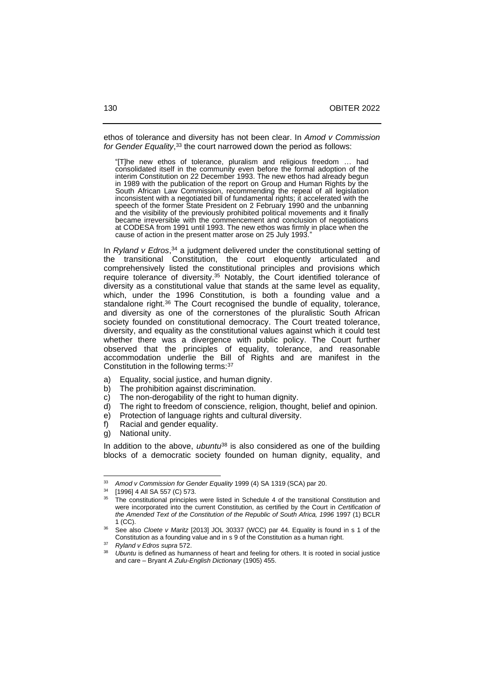ethos of tolerance and diversity has not been clear. In *Amod v Commission for Gender Equality*, <sup>33</sup> the court narrowed down the period as follows:

"[T]he new ethos of tolerance, pluralism and religious freedom … had consolidated itself in the community even before the formal adoption of the interim Constitution on 22 December 1993. The new ethos had already begun in 1989 with the publication of the report on Group and Human Rights by the South African Law Commission, recommending the repeal of all legislation inconsistent with a negotiated bill of fundamental rights; it accelerated with the speech of the former State President on 2 February 1990 and the unbanning and the visibility of the previously prohibited political movements and it finally became irreversible with the commencement and conclusion of negotiations at CODESA from 1991 until 1993. The new ethos was firmly in place when the cause of action in the present matter arose on 25 July 1993.

In *Ryland v Edros*, <sup>34</sup> a judgment delivered under the constitutional setting of the transitional Constitution, the court eloquently articulated and comprehensively listed the constitutional principles and provisions which require tolerance of diversity.<sup>35</sup> Notably, the Court identified tolerance of diversity as a constitutional value that stands at the same level as equality, which, under the 1996 Constitution, is both a founding value and a standalone right.<sup>36</sup> The Court recognised the bundle of equality, tolerance, and diversity as one of the cornerstones of the pluralistic South African society founded on constitutional democracy. The Court treated tolerance, diversity, and equality as the constitutional values against which it could test whether there was a divergence with public policy. The Court further observed that the principles of equality, tolerance, and reasonable accommodation underlie the Bill of Rights and are manifest in the Constitution in the following terms:<sup>37</sup>

- a) Equality, social justice, and human dignity.
- b) The prohibition against discrimination.
- c) The non-derogability of the right to human dignity.
- d) The right to freedom of conscience, religion, thought, belief and opinion.
- e) Protection of language rights and cultural diversity.
- f) Racial and gender equality.
- g) National unity.

In addition to the above, *ubuntu*<sup>38</sup> is also considered as one of the building blocks of a democratic society founded on human dignity, equality, and

<sup>33</sup> *Amod v Commission for Gender Equality* 1999 (4) SA 1319 (SCA) par 20.

<sup>[1996] 4</sup> All SA 557 (C) 573.

<sup>35</sup> The constitutional principles were listed in Schedule 4 of the transitional Constitution and were incorporated into the current Constitution, as certified by the Court in *Certification of the Amended Text of the Constitution of the Republic of South Africa, 1996* 1997 (1) BCLR 1 (CC).

<sup>36</sup> See also *Cloete v Maritz* [2013] JOL 30337 (WCC) par 44. Equality is found in s 1 of the Constitution as a founding value and in s 9 of the Constitution as a human right.

<sup>37</sup> *Ryland v Edros supra* 572.

Ubuntu is defined as humanness of heart and feeling for others. It is rooted in social justice and care ‒ Bryant *A Zulu-English Dictionary* (1905) 455.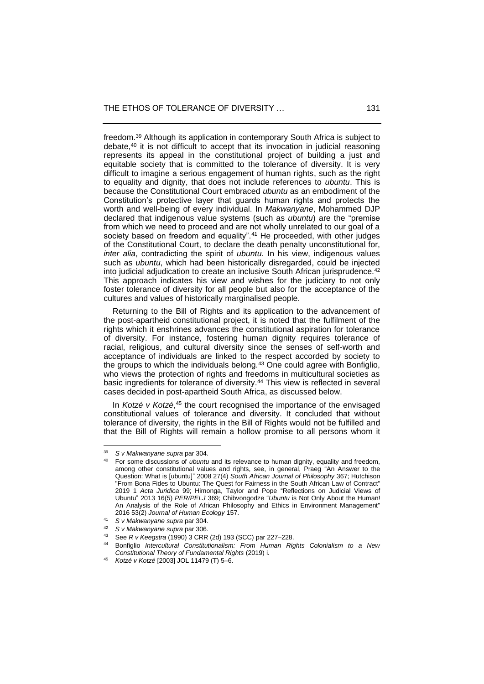freedom.<sup>39</sup> Although its application in contemporary South Africa is subject to debate,<sup>40</sup> it is not difficult to accept that its invocation in judicial reasoning represents its appeal in the constitutional project of building a just and equitable society that is committed to the tolerance of diversity. It is very difficult to imagine a serious engagement of human rights, such as the right to equality and dignity, that does not include references to *ubuntu*. This is because the Constitutional Court embraced *ubuntu* as an embodiment of the Constitution's protective layer that guards human rights and protects the worth and well-being of every individual. In *Makwanyane*, Mohammed DJP declared that indigenous value systems (such as *ubuntu*) are the "premise from which we need to proceed and are not wholly unrelated to our goal of a society based on freedom and equality".<sup>41</sup> He proceeded, with other judges of the Constitutional Court, to declare the death penalty unconstitutional for, *inter alia*, contradicting the spirit of *ubuntu.* In his view, indigenous values such as *ubuntu*, which had been historically disregarded, could be injected into judicial adjudication to create an inclusive South African jurisprudence.<sup>42</sup> This approach indicates his view and wishes for the judiciary to not only foster tolerance of diversity for all people but also for the acceptance of the cultures and values of historically marginalised people.

 Returning to the Bill of Rights and its application to the advancement of the post-apartheid constitutional project, it is noted that the fulfilment of the rights which it enshrines advances the constitutional aspiration for tolerance of diversity. For instance, fostering human dignity requires tolerance of racial, religious, and cultural diversity since the senses of self-worth and acceptance of individuals are linked to the respect accorded by society to the groups to which the individuals belong.<sup>43</sup> One could agree with Bonfiglio, who views the protection of rights and freedoms in multicultural societies as basic ingredients for tolerance of diversity.<sup>44</sup> This view is reflected in several cases decided in post-apartheid South Africa, as discussed below.

In *Kotzé v Kotzé*,<sup>45</sup> the court recognised the importance of the envisaged constitutional values of tolerance and diversity. It concluded that without tolerance of diversity, the rights in the Bill of Rights would not be fulfilled and that the Bill of Rights will remain a hollow promise to all persons whom it

<sup>39</sup> *S v Makwanyane supra* par 304.

<sup>40</sup> For some discussions of *ubuntu* and its relevance to human dignity, equality and freedom, among other constitutional values and rights, see, in general, Praeg "An Answer to the Question: What is [ubuntu]" 2008 27(4) *South African Journal of Philosophy* 367; Hutchison "From Bona Fides to Ubuntu: The Quest for Fairness in the South African Law of Contract" 2019 1 *Acta Juridica* 99; Himonga, Taylor and Pope "Reflections on Judicial Views of Ubuntu" 2013 16(5) *PER/PELJ* 369; Chibvongodze "*Ubuntu* is Not Only About the Human! An Analysis of the Role of African Philosophy and Ethics in Environment Management" 2016 53(2) *Journal of Human Ecology* 157.

<sup>41</sup> *S v Makwanyane supra* par 304.

<sup>42</sup> *S v Makwanyane supra* par 306.

<sup>43</sup> See *R v Keegstra* (1990) 3 CRR (2d) 193 (SCC) par 227–228.

<sup>44</sup> Bonfiglio *Intercultural Constitutionalism: From Human Rights Colonialism to a New Constitutional Theory of Fundamental Rights* (2019) i.

<sup>45</sup> *Kotzé v Kotzé* [2003] JOL 11479 (T) 5‒6.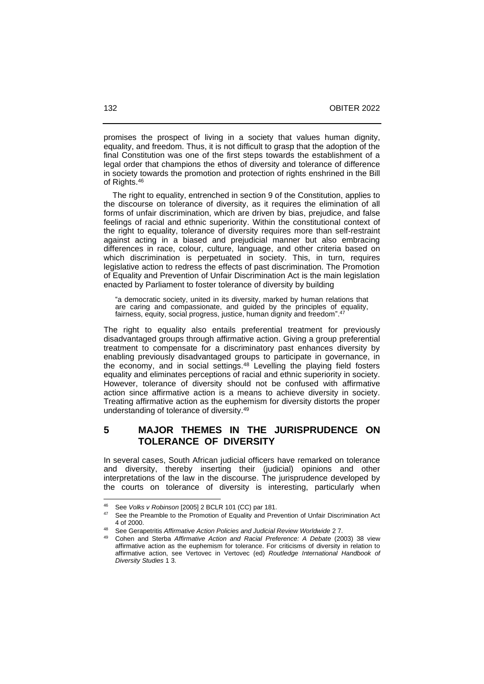promises the prospect of living in a society that values human dignity, equality, and freedom. Thus, it is not difficult to grasp that the adoption of the final Constitution was one of the first steps towards the establishment of a legal order that champions the ethos of diversity and tolerance of difference in society towards the promotion and protection of rights enshrined in the Bill of Rights. 46

 The right to equality, entrenched in section 9 of the Constitution, applies to the discourse on tolerance of diversity, as it requires the elimination of all forms of unfair discrimination, which are driven by bias, prejudice, and false feelings of racial and ethnic superiority. Within the constitutional context of the right to equality, tolerance of diversity requires more than self-restraint against acting in a biased and prejudicial manner but also embracing differences in race, colour, culture, language, and other criteria based on which discrimination is perpetuated in society. This, in turn, requires legislative action to redress the effects of past discrimination. The Promotion of Equality and Prevention of Unfair Discrimination Act is the main legislation enacted by Parliament to foster tolerance of diversity by building

"a democratic society, united in its diversity, marked by human relations that are caring and compassionate, and guided by the principles of equality, fairness, equity, social progress, justice, human dignity and freedom".<sup>47</sup>

The right to equality also entails preferential treatment for previously disadvantaged groups through affirmative action. Giving a group preferential treatment to compensate for a discriminatory past enhances diversity by enabling previously disadvantaged groups to participate in governance, in the economy, and in social settings.<sup>48</sup> Levelling the playing field fosters equality and eliminates perceptions of racial and ethnic superiority in society. However, tolerance of diversity should not be confused with affirmative action since affirmative action is a means to achieve diversity in society. Treating affirmative action as the euphemism for diversity distorts the proper understanding of tolerance of diversity. 49

### **5 MAJOR THEMES IN THE JURISPRUDENCE ON TOLERANCE OF DIVERSITY**

In several cases, South African judicial officers have remarked on tolerance and diversity, thereby inserting their (judicial) opinions and other interpretations of the law in the discourse. The jurisprudence developed by the courts on tolerance of diversity is interesting, particularly when

<sup>46</sup> See *Volks v Robinson* [2005] 2 BCLR 101 (CC) par 181.

<sup>&</sup>lt;sup>47</sup> See the Preamble to the Promotion of Equality and Prevention of Unfair Discrimination Act 4 of 2000.

<sup>48</sup> See Gerapetritis *Affirmative Action Policies and Judicial Review Worldwide* 2 7.

<sup>49</sup> Cohen and Sterba *Affirmative Action and Racial Preference: A Debate* (2003) 38 view affirmative action as the euphemism for tolerance. For criticisms of diversity in relation to affirmative action, see Vertovec in Vertovec (ed) *Routledge International Handbook of Diversity Studies* 1 3.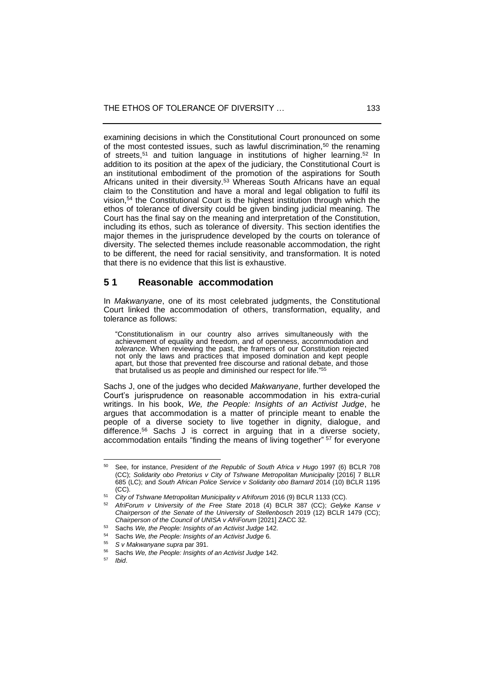examining decisions in which the Constitutional Court pronounced on some of the most contested issues, such as lawful discrimination,<sup>50</sup> the renaming of streets, <sup>51</sup> and tuition language in institutions of higher learning. <sup>52</sup> In addition to its position at the apex of the judiciary, the Constitutional Court is an institutional embodiment of the promotion of the aspirations for South Africans united in their diversity.<sup>53</sup> Whereas South Africans have an equal claim to the Constitution and have a moral and legal obligation to fulfil its vision, <sup>54</sup> the Constitutional Court is the highest institution through which the ethos of tolerance of diversity could be given binding judicial meaning. The Court has the final say on the meaning and interpretation of the Constitution, including its ethos, such as tolerance of diversity. This section identifies the major themes in the jurisprudence developed by the courts on tolerance of diversity. The selected themes include reasonable accommodation, the right to be different, the need for racial sensitivity, and transformation. It is noted that there is no evidence that this list is exhaustive.

## **5 1 Reasonable accommodation**

In *Makwanyane*, one of its most celebrated judgments, the Constitutional Court linked the accommodation of others, transformation, equality, and tolerance as follows:

"Constitutionalism in our country also arrives simultaneously with the achievement of equality and freedom, and of openness, accommodation and *tolerance*. When reviewing the past, the framers of our Constitution rejected not only the laws and practices that imposed domination and kept people apart, but those that prevented free discourse and rational debate, and those that brutalised us as people and diminished our respect for life." 55

Sachs J, one of the judges who decided *Makwanyane*, further developed the Court's jurisprudence on reasonable accommodation in his extra-curial writings. In his book, *We, the People: Insights of an Activist Judge*, he argues that accommodation is a matter of principle meant to enable the people of a diverse society to live together in dignity, dialogue, and difference. <sup>56</sup> Sachs J is correct in arguing that in a diverse society, accommodation entails "finding the means of living together" <sup>57</sup> for everyone

<sup>50</sup> See, for instance, *President of the Republic of South Africa v Hugo* 1997 (6) BCLR 708 (CC); *Solidarity obo Pretorius v City of Tshwane Metropolitan Municipality* [2016] 7 BLLR 685 (LC); and *South African Police Service v Solidarity obo Barnard* 2014 (10) BCLR 1195 (CC).

<sup>51</sup> *City of Tshwane Metropolitan Municipality v Afriforum* 2016 (9) BCLR 1133 (CC).

<sup>52</sup> *AfriForum v University of the Free State* 2018 (4) BCLR 387 (CC); *Gelyke Kanse v Chairperson of the Senate of the University of Stellenbosch* 2019 (12) BCLR 1479 (CC); *Chairperson of the Council of UNISA v AfriForum* [2021] ZACC 32.

<sup>&</sup>lt;sup>53</sup> Sachs *We, the People: Insights of an Activist Judge* 142.

<sup>54</sup> Sachs *We, the People: Insights of an Activist Judge* 6.

<sup>55</sup> *S v Makwanyane supra* par 391.

Sachs We, the People: Insights of an Activist Judge 142.

<sup>57</sup> *Ibid*.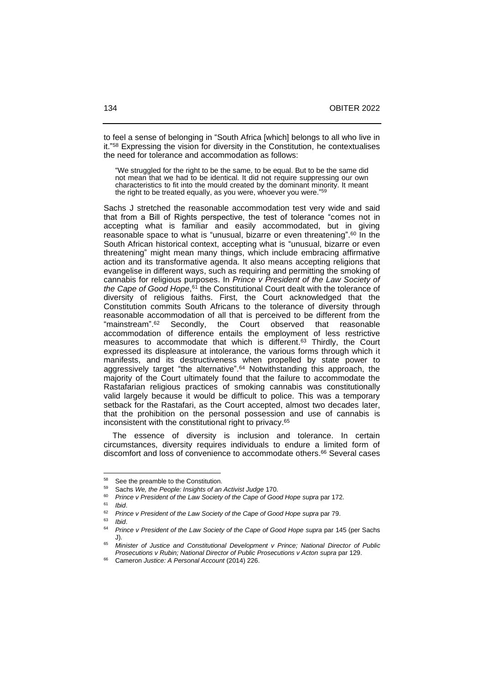to feel a sense of belonging in "South Africa [which] belongs to all who live in it."<sup>58</sup> Expressing the vision for diversity in the Constitution, he contextualises the need for tolerance and accommodation as follows:

"We struggled for the right to be the same, to be equal. But to be the same did not mean that we had to be identical. It did not require suppressing our own characteristics to fit into the mould created by the dominant minority. It meant the right to be treated equally, as you were, whoever you were." 59

Sachs J stretched the reasonable accommodation test very wide and said that from a Bill of Rights perspective, the test of tolerance "comes not in accepting what is familiar and easily accommodated, but in giving reasonable space to what is "unusual, bizarre or even threatening". <sup>60</sup> In the South African historical context, accepting what is "unusual, bizarre or even threatening" might mean many things, which include embracing affirmative action and its transformative agenda. It also means accepting religions that evangelise in different ways, such as requiring and permitting the smoking of cannabis for religious purposes. In *Prince v President of the Law Society of*  the Cape of Good Hope,<sup>61</sup> the Constitutional Court dealt with the tolerance of diversity of religious faiths. First, the Court acknowledged that the Constitution commits South Africans to the tolerance of diversity through reasonable accommodation of all that is perceived to be different from the "mainstream". Secondly, the Court observed that reasonable accommodation of difference entails the employment of less restrictive measures to accommodate that which is different. <sup>63</sup> Thirdly, the Court expressed its displeasure at intolerance, the various forms through which it manifests, and its destructiveness when propelled by state power to aggressively target "the alternative". <sup>64</sup> Notwithstanding this approach, the majority of the Court ultimately found that the failure to accommodate the Rastafarian religious practices of smoking cannabis was constitutionally valid largely because it would be difficult to police. This was a temporary setback for the Rastafari, as the Court accepted, almost two decades later, that the prohibition on the personal possession and use of cannabis is inconsistent with the constitutional right to privacy.<sup>65</sup>

 The essence of diversity is inclusion and tolerance. In certain circumstances, diversity requires individuals to endure a limited form of discomfort and loss of convenience to accommodate others.<sup>66</sup> Several cases

 $58$  See the preamble to the Constitution.

<sup>59</sup> Sachs *We, the People: Insights of an Activist Judge* 170.

<sup>60</sup> *Prince v President of the Law Society of the Cape of Good Hope supra* par 172.

<sup>61</sup> *Ibid*.

<sup>&</sup>lt;sup>62</sup> Prince v President of the Law Society of the Cape of Good Hope *supra* par 79.

<sup>63</sup> *Ibid*.

<sup>64</sup> *Prince v President of the Law Society of the Cape of Good Hope supra* par 145 (per Sachs J).

<sup>65</sup> *Minister of Justice and Constitutional Development v Prince; National Director of Public Prosecutions v Rubin; National Director of Public Prosecutions v Acton supra* par 129.

<sup>66</sup> Cameron *Justice: A Personal Account* (2014) 226.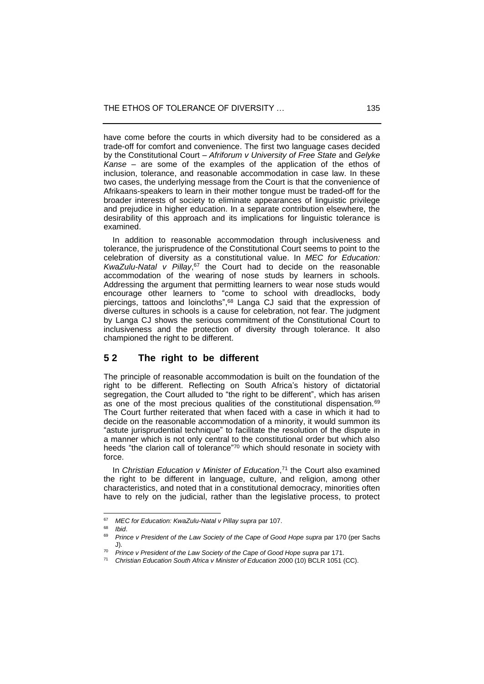have come before the courts in which diversity had to be considered as a trade-off for comfort and convenience. The first two language cases decided by the Constitutional Court *– Afriforum v University of Free State* and *Gelyke Kanse –* are some of the examples of the application of the ethos of inclusion, tolerance, and reasonable accommodation in case law. In these two cases, the underlying message from the Court is that the convenience of Afrikaans-speakers to learn in their mother tongue must be traded-off for the broader interests of society to eliminate appearances of linguistic privilege and prejudice in higher education. In a separate contribution elsewhere, the desirability of this approach and its implications for linguistic tolerance is examined.

 In addition to reasonable accommodation through inclusiveness and tolerance, the jurisprudence of the Constitutional Court seems to point to the celebration of diversity as a constitutional value. In *MEC for Education: KwaZulu-Natal v Pillay*, <sup>67</sup> the Court had to decide on the reasonable accommodation of the wearing of nose studs by learners in schools. Addressing the argument that permitting learners to wear nose studs would encourage other learners to "come to school with dreadlocks, body piercings, tattoos and loincloths", <sup>68</sup> Langa CJ said that the expression of diverse cultures in schools is a cause for celebration, not fear. The judgment by Langa CJ shows the serious commitment of the Constitutional Court to inclusiveness and the protection of diversity through tolerance. It also championed the right to be different.

#### **5 2 The right to be different**

The principle of reasonable accommodation is built on the foundation of the right to be different. Reflecting on South Africa's history of dictatorial segregation, the Court alluded to "the right to be different", which has arisen as one of the most precious qualities of the constitutional dispensation.<sup>69</sup> The Court further reiterated that when faced with a case in which it had to decide on the reasonable accommodation of a minority, it would summon its "astute jurisprudential technique" to facilitate the resolution of the dispute in a manner which is not only central to the constitutional order but which also heeds "the clarion call of tolerance"<sup>70</sup> which should resonate in society with force.

In *Christian Education v Minister of Education*,<sup>71</sup> the Court also examined the right to be different in language, culture, and religion, among other characteristics, and noted that in a constitutional democracy, minorities often have to rely on the judicial, rather than the legislative process, to protect

<sup>67</sup> *MEC for Education: KwaZulu-Natal v Pillay supra* par 107.

*Ibid.* 

<sup>69</sup> *Prince v President of the Law Society of the Cape of Good Hope supra* par 170 (per Sachs J).

<sup>&</sup>lt;sup>70</sup> Prince v President of the Law Society of the Cape of Good Hope *supra* par 171.

<sup>71</sup> *Christian Education South Africa v Minister of Education* 2000 (10) BCLR 1051 (CC).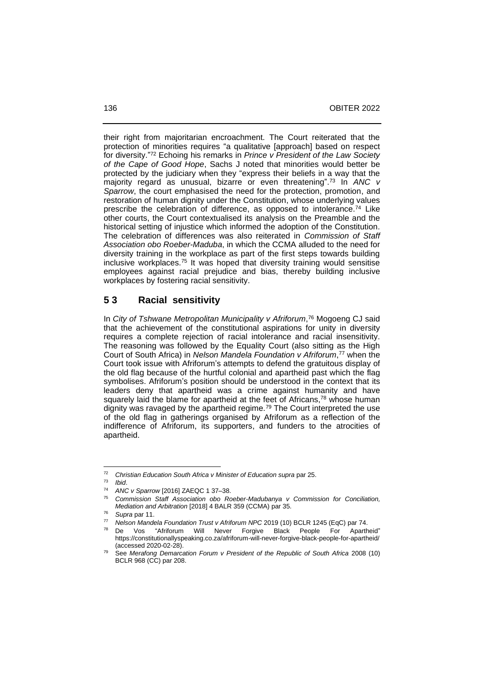their right from majoritarian encroachment. The Court reiterated that the protection of minorities requires "a qualitative [approach] based on respect for diversity." <sup>72</sup> Echoing his remarks in *Prince v President of the Law Society of the Cape of Good Hope*, Sachs J noted that minorities would better be protected by the judiciary when they "express their beliefs in a way that the majority regard as unusual, bizarre or even threatening". <sup>73</sup> In *ANC v Sparrow*, the court emphasised the need for the protection, promotion, and restoration of human dignity under the Constitution, whose underlying values prescribe the celebration of difference, as opposed to intolerance.<sup>74</sup> Like other courts, the Court contextualised its analysis on the Preamble and the historical setting of injustice which informed the adoption of the Constitution. The celebration of differences was also reiterated in *Commission of Staff Association obo Roeber-Maduba*, in which the CCMA alluded to the need for diversity training in the workplace as part of the first steps towards building inclusive workplaces.<sup>75</sup> It was hoped that diversity training would sensitise employees against racial prejudice and bias, thereby building inclusive workplaces by fostering racial sensitivity.

#### **5 3 Racial sensitivity**

In *City of Tshwane Metropolitan Municipality v Afriforum*, <sup>76</sup> Mogoeng CJ said that the achievement of the constitutional aspirations for unity in diversity requires a complete rejection of racial intolerance and racial insensitivity. The reasoning was followed by the Equality Court (also sitting as the High Court of South Africa) in *Nelson Mandela Foundation v Afriforum*, <sup>77</sup> when the Court took issue with Afriforum's attempts to defend the gratuitous display of the old flag because of the hurtful colonial and apartheid past which the flag symbolises. Afriforum's position should be understood in the context that its leaders deny that apartheid was a crime against humanity and have squarely laid the blame for apartheid at the feet of Africans,<sup>78</sup> whose human dignity was ravaged by the apartheid regime.<sup>79</sup> The Court interpreted the use of the old flag in gatherings organised by Afriforum as a reflection of the indifference of Afriforum, its supporters, and funders to the atrocities of apartheid.

<sup>72</sup> *Christian Education South Africa v Minister of Education supra* par 25.

<sup>73</sup> *Ibid*.

<sup>&</sup>lt;sup>74</sup> *ANC v Sparrow* [2016] ZAEQC 1 37-38.

<sup>75</sup> *Commission Staff Association obo Roeber-Madubanya v Commission for Conciliation, Mediation and Arbitration* [2018] 4 BALR 359 (CCMA) par 35.

<sup>76</sup> *Supra* par 11.

<sup>77</sup> *Nelson Mandela Foundation Trust v Afriforum NPC* 2019 (10) BCLR 1245 (EqC) par 74.

De Vos "Afriforum Will Never Forgive Black People For Apartheid" https://constitutionallyspeaking.co.za/afriforum-will-never-forgive-black-people-for-apartheid/ (accessed 2020-02-28).

<sup>79</sup> See *Merafong Demarcation Forum v President of the Republic of South Africa* 2008 (10) BCLR 968 (CC) par 208.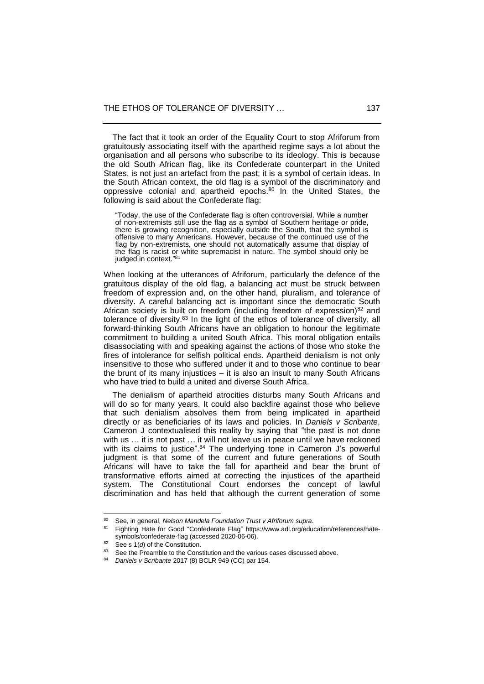The fact that it took an order of the Equality Court to stop Afriforum from gratuitously associating itself with the apartheid regime says a lot about the organisation and all persons who subscribe to its ideology. This is because the old South African flag, like its Confederate counterpart in the United States, is not just an artefact from the past; it is a symbol of certain ideas. In the South African context, the old flag is a symbol of the discriminatory and oppressive colonial and apartheid epochs.<sup>80</sup> In the United States, the following is said about the Confederate flag:

"Today, the use of the Confederate flag is often controversial. While a number of non-extremists still use the flag as a symbol of Southern heritage or pride, there is growing recognition, especially outside the South, that the symbol is offensive to many Americans. However, because of the continued use of the flag by non-extremists, one should not automatically assume that display of the flag is racist or white supremacist in nature. The symbol should only be indeed in context  $\frac{n}{81}$ judged in context."<sup>8</sup>

When looking at the utterances of Afriforum, particularly the defence of the gratuitous display of the old flag, a balancing act must be struck between freedom of expression and, on the other hand, pluralism, and tolerance of diversity. A careful balancing act is important since the democratic South African society is built on freedom (including freedom of expression) $82$  and tolerance of diversity.<sup>83</sup> In the light of the ethos of tolerance of diversity, all forward-thinking South Africans have an obligation to honour the legitimate commitment to building a united South Africa. This moral obligation entails disassociating with and speaking against the actions of those who stoke the fires of intolerance for selfish political ends. Apartheid denialism is not only insensitive to those who suffered under it and to those who continue to bear the brunt of its many injustices – it is also an insult to many South Africans who have tried to build a united and diverse South Africa.

 The denialism of apartheid atrocities disturbs many South Africans and will do so for many years. It could also backfire against those who believe that such denialism absolves them from being implicated in apartheid directly or as beneficiaries of its laws and policies. In *Daniels v Scribante*, Cameron J contextualised this reality by saying that "the past is not done with us ... it is not past ... it will not leave us in peace until we have reckoned with its claims to justice".<sup>84</sup> The underlying tone in Cameron J's powerful judgment is that some of the current and future generations of South Africans will have to take the fall for apartheid and bear the brunt of transformative efforts aimed at correcting the injustices of the apartheid system. The Constitutional Court endorses the concept of lawful discrimination and has held that although the current generation of some

<sup>80</sup> See, in general, *Nelson Mandela Foundation Trust v Afriforum supra*.

Fighting Hate for Good "Confederate Flag" https://www.adl.org/education/references/hatesymbols/confederate-flag (accessed 2020-06-06).

See s 1(*d*) of the Constitution.

<sup>&</sup>lt;sup>83</sup> See the Preamble to the Constitution and the various cases discussed above.

<sup>84</sup> *Daniels v Scribante* 2017 (8) BCLR 949 (CC) par 154.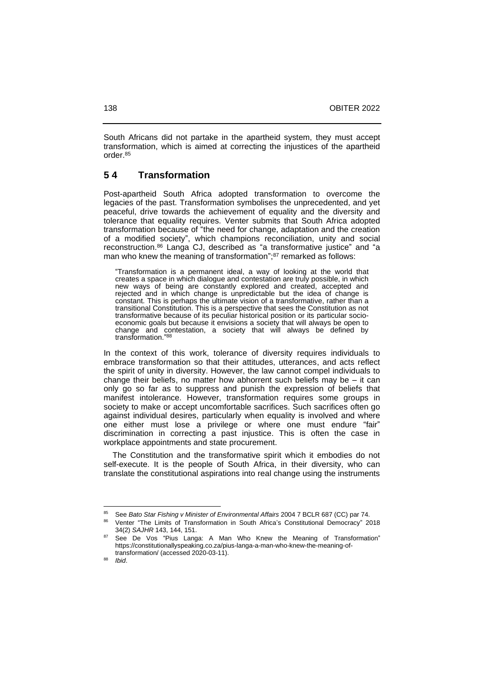South Africans did not partake in the apartheid system, they must accept transformation, which is aimed at correcting the injustices of the apartheid order. 85

### **5 4 Transformation**

Post-apartheid South Africa adopted transformation to overcome the legacies of the past. Transformation symbolises the unprecedented, and yet peaceful, drive towards the achievement of equality and the diversity and tolerance that equality requires. Venter submits that South Africa adopted transformation because of "the need for change, adaptation and the creation of a modified society", which champions reconciliation, unity and social reconstruction.<sup>86</sup> Langa CJ, described as "a transformative justice" and "a man who knew the meaning of transformation";<sup>87</sup> remarked as follows:

"Transformation is a permanent ideal, a way of looking at the world that creates a space in which dialogue and contestation are truly possible, in which new ways of being are constantly explored and created, accepted and rejected and in which change is unpredictable but the idea of change is constant. This is perhaps the ultimate vision of a transformative, rather than a transitional Constitution. This is a perspective that sees the Constitution as not transformative because of its peculiar historical position or its particular socioeconomic goals but because it envisions a society that will always be open to change and contestation, a society that will always be defined by transformation." 88

In the context of this work, tolerance of diversity requires individuals to embrace transformation so that their attitudes, utterances, and acts reflect the spirit of unity in diversity. However, the law cannot compel individuals to change their beliefs, no matter how abhorrent such beliefs may be  $-$  it can only go so far as to suppress and punish the expression of beliefs that manifest intolerance. However, transformation requires some groups in society to make or accept uncomfortable sacrifices. Such sacrifices often go against individual desires, particularly when equality is involved and where one either must lose a privilege or where one must endure "fair" discrimination in correcting a past injustice. This is often the case in workplace appointments and state procurement.

 The Constitution and the transformative spirit which it embodies do not self-execute. It is the people of South Africa, in their diversity, who can translate the constitutional aspirations into real change using the instruments

<sup>85</sup> See *Bato Star Fishing v Minister of Environmental Affairs* 2004 7 BCLR 687 (CC) par 74.

<sup>86</sup> Venter "The Limits of Transformation in South Africa's Constitutional Democracy" 2018 34(2) *SAJHR* 143, 144, 151.

See De Vos "Pius Langa: A Man Who Knew the Meaning of Transformation" https://constitutionallyspeaking.co.za/pius-langa-a-man-who-knew-the-meaning-oftransformation/ (accessed 2020-03-11).

<sup>88</sup> *Ibid*.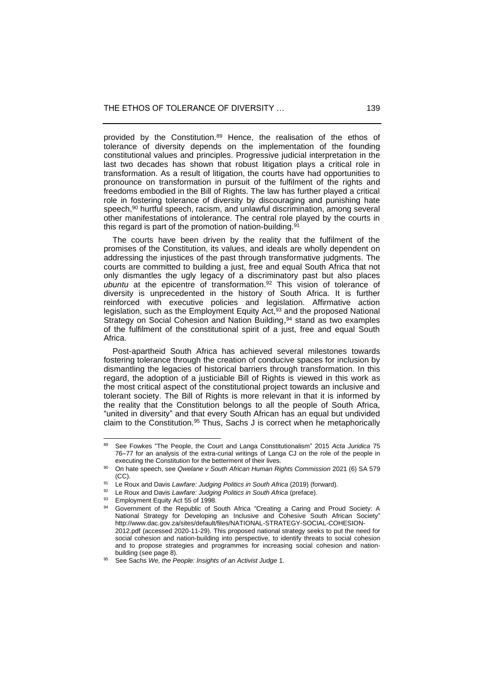provided by the Constitution.<sup>89</sup> Hence, the realisation of the ethos of tolerance of diversity depends on the implementation of the founding constitutional values and principles. Progressive judicial interpretation in the last two decades has shown that robust litigation plays a critical role in transformation. As a result of litigation, the courts have had opportunities to pronounce on transformation in pursuit of the fulfilment of the rights and freedoms embodied in the Bill of Rights. The law has further played a critical role in fostering tolerance of diversity by discouraging and punishing hate speech,<sup>90</sup> hurtful speech, racism, and unlawful discrimination, among several other manifestations of intolerance. The central role played by the courts in this regard is part of the promotion of nation-building. $91$ 

 The courts have been driven by the reality that the fulfilment of the promises of the Constitution, its values, and ideals are wholly dependent on addressing the injustices of the past through transformative judgments. The courts are committed to building a just, free and equal South Africa that not only dismantles the ugly legacy of a discriminatory past but also places *ubuntu* at the epicentre of transformation. <sup>92</sup> This vision of tolerance of diversity is unprecedented in the history of South Africa. It is further reinforced with executive policies and legislation. Affirmative action legislation, such as the Employment Equity Act,<sup>93</sup> and the proposed National Strategy on Social Cohesion and Nation Building, <sup>94</sup> stand as two examples of the fulfilment of the constitutional spirit of a just, free and equal South Africa.

 Post-apartheid South Africa has achieved several milestones towards fostering tolerance through the creation of conducive spaces for inclusion by dismantling the legacies of historical barriers through transformation. In this regard, the adoption of a justiciable Bill of Rights is viewed in this work as the most critical aspect of the constitutional project towards an inclusive and tolerant society. The Bill of Rights is more relevant in that it is informed by the reality that the Constitution belongs to all the people of South Africa, "united in diversity" and that every South African has an equal but undivided claim to the Constitution.<sup>95</sup> Thus, Sachs J is correct when he metaphorically

<sup>89</sup> See Fowkes "The People, the Court and Langa Constitutionalism" 2015 *Acta Juridica* 75 76‒77 for an analysis of the extra-curial writings of Langa CJ on the role of the people in executing the Constitution for the betterment of their lives.

<sup>90</sup> On hate speech, see *Qwelane v South African Human Rights Commission* 2021 (6) SA 579 (CC).

<sup>91</sup> Le Roux and Davis *Lawfare: Judging Politics in South Africa* (2019) (forward).

Le Roux and Davis *Lawfare: Judging Politics in South Africa* (preface).

Employment Equity Act 55 of 1998.

<sup>94</sup> Government of the Republic of South Africa "Creating a Caring and Proud Society: A National Strategy for Developing an Inclusive and Cohesive South African Society" http://www.dac.gov.za/sites/default/files/NATIONAL-STRATEGY-SOCIAL-COHESION-2012.pdf (accessed 2020-11-29). This proposed national strategy seeks to put the need for social cohesion and nation-building into perspective, to identify threats to social cohesion and to propose strategies and programmes for increasing social cohesion and nationbuilding (see page 8).

<sup>95</sup> See Sachs *We, the People: Insights of an Activist Judge* 1.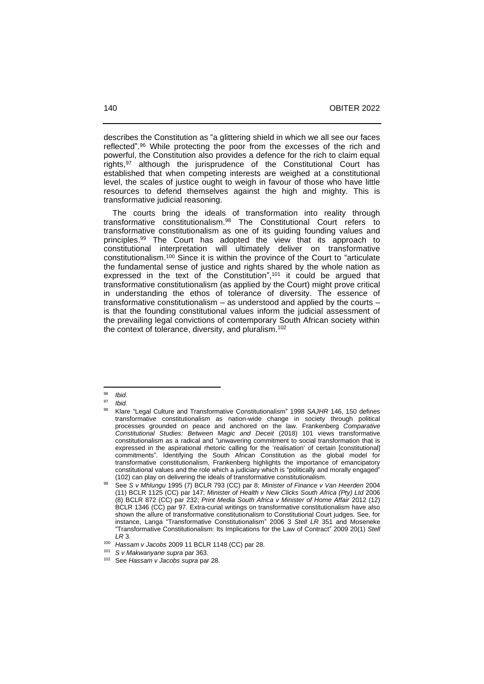describes the Constitution as "a glittering shield in which we all see our faces reflected". <sup>96</sup> While protecting the poor from the excesses of the rich and powerful, the Constitution also provides a defence for the rich to claim equal rights,<sup>97</sup> although the jurisprudence of the Constitutional Court has established that when competing interests are weighed at a constitutional level, the scales of justice ought to weigh in favour of those who have little resources to defend themselves against the high and mighty. This is transformative judicial reasoning.

 The courts bring the ideals of transformation into reality through transformative constitutionalism.<sup>98</sup> The Constitutional Court refers to transformative constitutionalism as one of its guiding founding values and principles. <sup>99</sup> The Court has adopted the view that its approach to constitutional interpretation will ultimately deliver on transformative constitutionalism.<sup>100</sup> Since it is within the province of the Court to "articulate the fundamental sense of justice and rights shared by the whole nation as expressed in the text of the Constitution",<sup>101</sup> it could be argued that transformative constitutionalism (as applied by the Court) might prove critical in understanding the ethos of tolerance of diversity. The essence of transformative constitutionalism  $-$  as understood and applied by the courts  $$ is that the founding constitutional values inform the judicial assessment of the prevailing legal convictions of contemporary South African society within the context of tolerance, diversity, and pluralism.<sup>102</sup>

<sup>96</sup> *Ibid*.

*Ibid.* 

<sup>98</sup> Klare "Legal Culture and Transformative Constitutionalism" 1998 *SAJHR* 146, 150 defines transformative constitutionalism as nation-wide change in society through political processes grounded on peace and anchored on the law. Frankenberg *Comparative Constitutional Studies: Between Magic and Deceit* (2018) 101 views transformative constitutionalism as a radical and "unwavering commitment to social transformation that is expressed in the aspirational rhetoric calling for the 'realisation' of certain [constitutional] commitments". Identifying the South African Constitution as the global model for transformative constitutionalism, Frankenberg highlights the importance of emancipatory constitutional values and the role which a judiciary which is "politically and morally engaged" (102) can play on delivering the ideals of transformative constitutionalism.

<sup>99</sup> See *S v Mhlungu* 1995 (7) BCLR 793 (CC) par 8; *Minister of Finance v Van Heerden* 2004 (11) BCLR 1125 (CC) par 147; *Minister of Health v New Clicks South Africa (Pty) Ltd* 2006 (8) BCLR 872 (CC) par 232; *Print Media South Africa v Minister of Home Affair* 2012 (12) BCLR 1346 (CC) par 97. Extra-curial writings on transformative constitutionalism have also shown the allure of transformative constitutionalism to Constitutional Court judges. See, for instance, Langa "Transformative Constitutionalism" 2006 3 *Stell LR* 351 and Moseneke "Transformative Constitutionalism: Its Implications for the Law of Contract" 2009 20(1) *Stell LR* 3.

<sup>100</sup> *Hassam v Jacobs* 2009 11 BCLR 1148 (CC) par 28.

<sup>101</sup> *S v Makwanyane supra* par 363.

<sup>102</sup> See *Hassam v Jacobs supra* par 28.